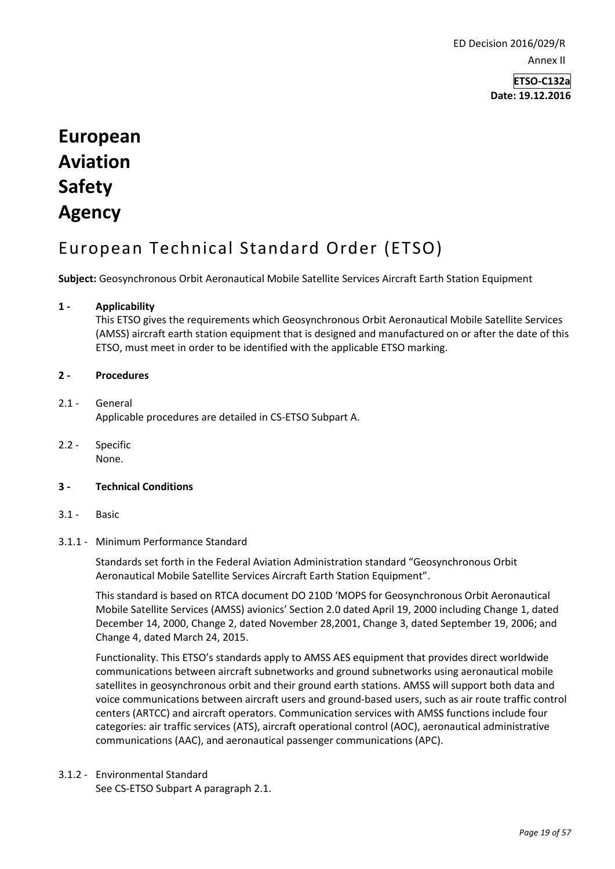ED Decision 2016/029/R Annex II

> **ETSO-C132a Date: 19.12.2016**

# **European Aviation Safety Agency**

# European Technical Standard Order (ETSO)

**Subject:** Geosynchronous Orbit Aeronautical Mobile Satellite Services Aircraft Earth Station Equipment

# **1 - Applicability**

This ETSO gives the requirements which Geosynchronous Orbit Aeronautical Mobile Satellite Services (AMSS) aircraft earth station equipment that is designed and manufactured on or after the date of this ETSO, must meet in order to be identified with the applicable ETSO marking.

#### **2 - Procedures**

### 2.1 - General Applicable procedures are detailed in CS-ETSO Subpart A.

2.2 - Specific None.

#### **3 - Technical Conditions**

3.1 - Basic

#### 3.1.1 - Minimum Performance Standard

Standards set forth in the Federal Aviation Administration standard "Geosynchronous Orbit Aeronautical Mobile Satellite Services Aircraft Earth Station Equipment".

This standard is based on RTCA document DO 210D 'MOPS for Geosynchronous Orbit Aeronautical Mobile Satellite Services (AMSS) avionics' Section 2.0 dated April 19, 2000 including Change 1, dated December 14, 2000, Change 2, dated November 28,2001, Change 3, dated September 19, 2006; and Change 4, dated March 24, 2015.

Functionality. This ETSO's standards apply to AMSS AES equipment that provides direct worldwide communications between aircraft subnetworks and ground subnetworks using aeronautical mobile satellites in geosynchronous orbit and their ground earth stations. AMSS will support both data and voice communications between aircraft users and ground-based users, such as air route traffic control centers (ARTCC) and aircraft operators. Communication services with AMSS functions include four categories: air traffic services (ATS), aircraft operational control (AOC), aeronautical administrative communications (AAC), and aeronautical passenger communications (APC).

3.1.2 - Environmental Standard

See CS-ETSO Subpart A paragraph 2.1.